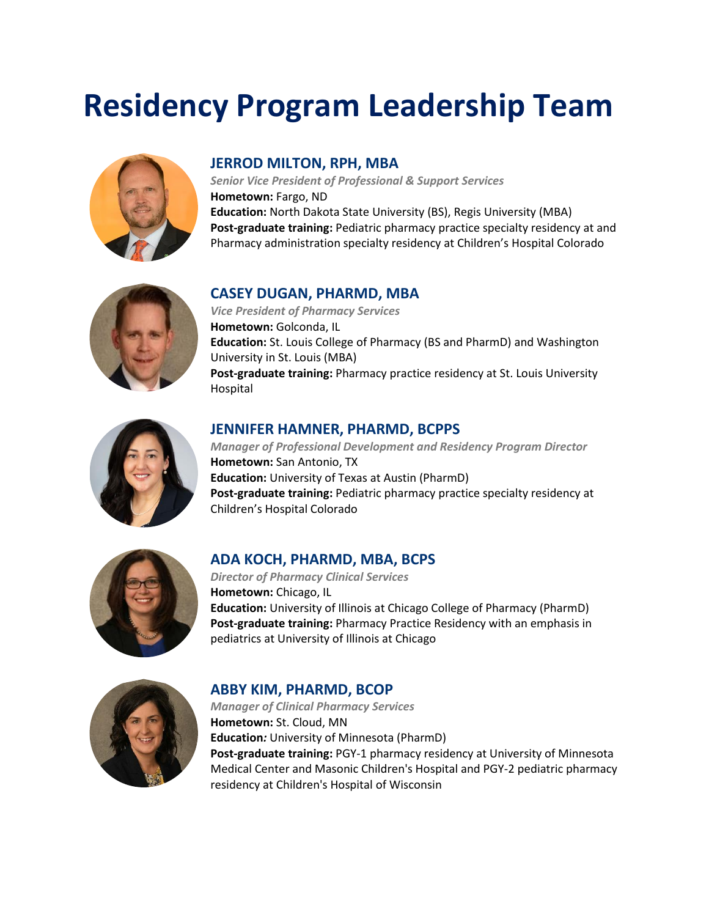# **Residency Program Leadership Team**



#### **JERROD MILTON, RPH, MBA**

*Senior Vice President of Professional & Support Services* **Hometown:** Fargo, ND **Education:** North Dakota State University (BS), Regis University (MBA) **Post-graduate training:** Pediatric pharmacy practice specialty residency at and Pharmacy administration specialty residency at Children's Hospital Colorado



#### **CASEY DUGAN, PHARMD, MBA**

*Vice President of Pharmacy Services* **Hometown:** Golconda, IL **Education:** St. Louis College of Pharmacy (BS and PharmD) and Washington University in St. Louis (MBA) **Post-graduate training:** Pharmacy practice residency at St. Louis University Hospital



#### **JENNIFER HAMNER, PHARMD, BCPPS**

*Manager of Professional Development and Residency Program Director*  **Hometown:** San Antonio, TX **Education:** University of Texas at Austin (PharmD) **Post-graduate training:** Pediatric pharmacy practice specialty residency at Children's Hospital Colorado



#### **ADA KOCH, PHARMD, MBA, BCPS**

*Director of Pharmacy Clinical Services* **Hometown:** Chicago, IL **Education:** University of Illinois at Chicago College of Pharmacy (PharmD) **Post-graduate training:** Pharmacy Practice Residency with an emphasis in pediatrics at University of Illinois at Chicago



#### **ABBY KIM, PHARMD, BCOP**

*Manager of Clinical Pharmacy Services* **Hometown:** St. Cloud, MN **Education***:* University of Minnesota (PharmD) **Post-graduate training:** PGY-1 pharmacy residency at University of Minnesota Medical Center and Masonic Children's Hospital and PGY-2 pediatric pharmacy residency at Children's Hospital of Wisconsin